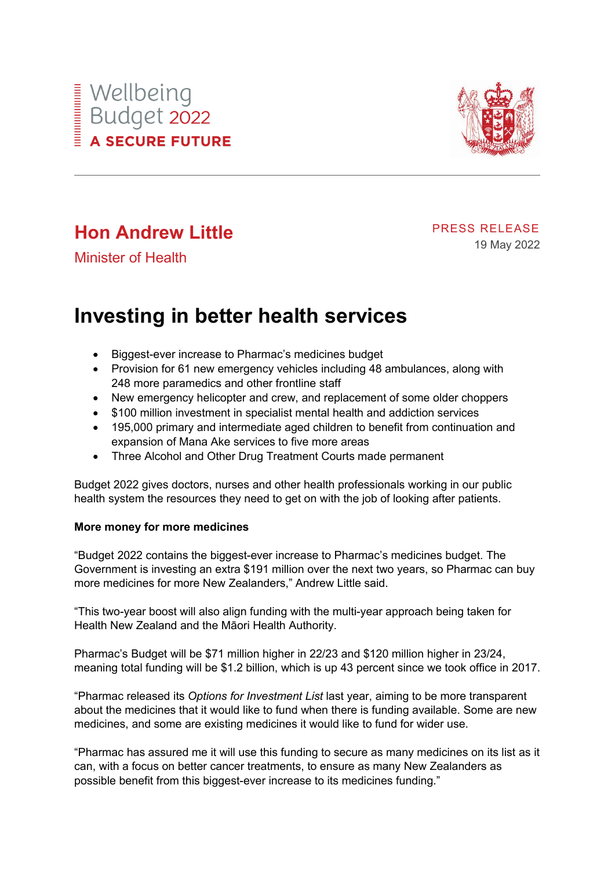



# **Hon Andrew Little**

PRESS RELEASE 19 May 2022

Minister of Health

# **Investing in better health services**

- Biggest-ever increase to Pharmac's medicines budget
- Provision for 61 new emergency vehicles including 48 ambulances, along with 248 more paramedics and other frontline staff
- New emergency helicopter and crew, and replacement of some older choppers
- \$100 million investment in specialist mental health and addiction services
- 195,000 primary and intermediate aged children to benefit from continuation and expansion of Mana Ake services to five more areas
- Three Alcohol and Other Drug Treatment Courts made permanent

Budget 2022 gives doctors, nurses and other health professionals working in our public health system the resources they need to get on with the job of looking after patients.

## **More money for more medicines**

"Budget 2022 contains the biggest-ever increase to Pharmac's medicines budget. The Government is investing an extra \$191 million over the next two years, so Pharmac can buy more medicines for more New Zealanders," Andrew Little said.

"This two-year boost will also align funding with the multi-year approach being taken for Health New Zealand and the Māori Health Authority.

Pharmac's Budget will be \$71 million higher in 22/23 and \$120 million higher in 23/24, meaning total funding will be \$1.2 billion, which is up 43 percent since we took office in 2017.

"Pharmac released its *Options for Investment List* last year, aiming to be more transparent about the medicines that it would like to fund when there is funding available. Some are new medicines, and some are existing medicines it would like to fund for wider use.

"Pharmac has assured me it will use this funding to secure as many medicines on its list as it can, with a focus on better cancer treatments, to ensure as many New Zealanders as possible benefit from this biggest-ever increase to its medicines funding."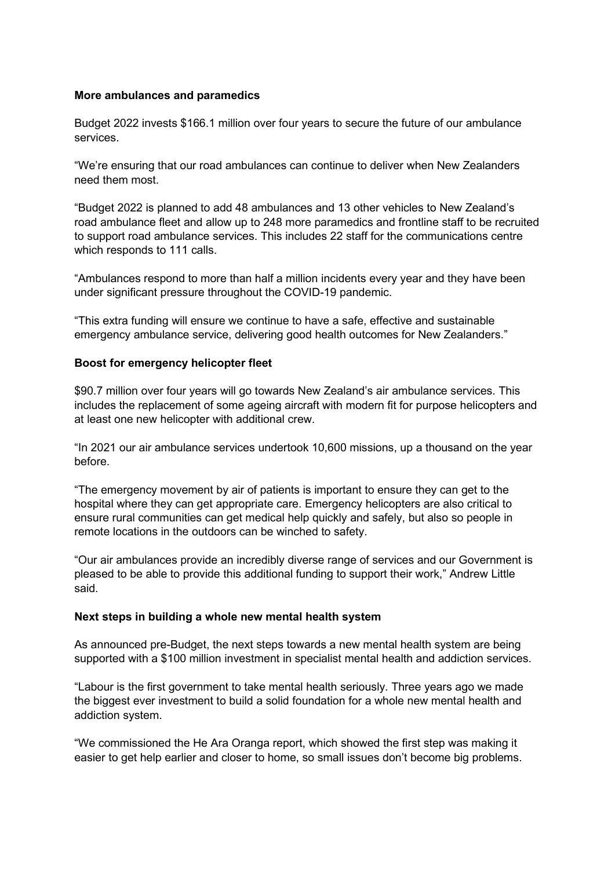### **More ambulances and paramedics**

Budget 2022 invests \$166.1 million over four years to secure the future of our ambulance services.

"We're ensuring that our road ambulances can continue to deliver when New Zealanders need them most.

"Budget 2022 is planned to add 48 ambulances and 13 other vehicles to New Zealand's road ambulance fleet and allow up to 248 more paramedics and frontline staff to be recruited to support road ambulance services. This includes 22 staff for the communications centre which responds to 111 calls.

"Ambulances respond to more than half a million incidents every year and they have been under significant pressure throughout the COVID-19 pandemic.

"This extra funding will ensure we continue to have a safe, effective and sustainable emergency ambulance service, delivering good health outcomes for New Zealanders."

### **Boost for emergency helicopter fleet**

\$90.7 million over four years will go towards New Zealand's air ambulance services. This includes the replacement of some ageing aircraft with modern fit for purpose helicopters and at least one new helicopter with additional crew.

"In 2021 our air ambulance services undertook 10,600 missions, up a thousand on the year before.

"The emergency movement by air of patients is important to ensure they can get to the hospital where they can get appropriate care. Emergency helicopters are also critical to ensure rural communities can get medical help quickly and safely, but also so people in remote locations in the outdoors can be winched to safety.

"Our air ambulances provide an incredibly diverse range of services and our Government is pleased to be able to provide this additional funding to support their work," Andrew Little said.

#### **Next steps in building a whole new mental health system**

As announced pre-Budget, the next steps towards a new mental health system are being supported with a \$100 million investment in specialist mental health and addiction services.

"Labour is the first government to take mental health seriously. Three years ago we made the biggest ever investment to build a solid foundation for a whole new mental health and addiction system.

"We commissioned the He Ara Oranga report, which showed the first step was making it easier to get help earlier and closer to home, so small issues don't become big problems.